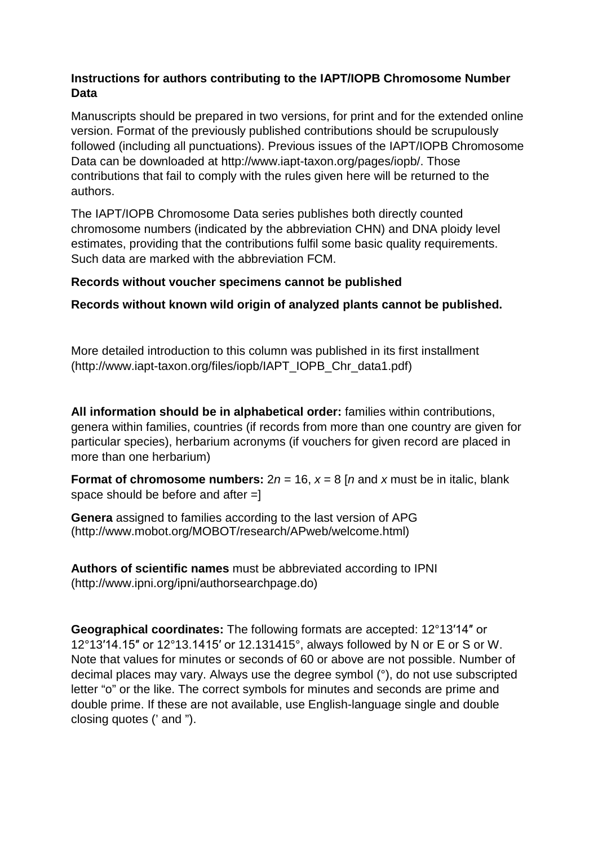## **Instructions for authors contributing to the IAPT/IOPB Chromosome Number Data**

Manuscripts should be prepared in two versions, for print and for the extended online version. Format of the previously published contributions should be scrupulously followed (including all punctuations). Previous issues of the IAPT/IOPB Chromosome Data can be downloaded at http://www.iapt-taxon.org/pages/iopb/. Those contributions that fail to comply with the rules given here will be returned to the authors.

The IAPT/IOPB Chromosome Data series publishes both directly counted chromosome numbers (indicated by the abbreviation CHN) and DNA ploidy level estimates, providing that the contributions fulfil some basic quality requirements. Such data are marked with the abbreviation FCM.

## **Records without voucher specimens cannot be published**

**Records without known wild origin of analyzed plants cannot be published.**

More detailed introduction to this column was published in its first installment (http://www.iapt-taxon.org/files/iopb/IAPT\_IOPB\_Chr\_data1.pdf)

**All information should be in alphabetical order:** families within contributions, genera within families, countries (if records from more than one country are given for particular species), herbarium acronyms (if vouchers for given record are placed in more than one herbarium)

**Format of chromosome numbers:**  $2n = 16$ ,  $x = 8$  [*n* and *x* must be in italic, blank space should be before and after =]

**Genera** assigned to families according to the last version of APG (http://www.mobot.org/MOBOT/research/APweb/welcome.html)

**Authors of scientific names** must be abbreviated according to IPNI (http://www.ipni.org/ipni/authorsearchpage.do)

**Geographical coordinates:** The following formats are accepted: 12°13′14″ or 12°13′14.15″ or 12°13.1415′ or 12.131415°, always followed by N or E or S or W. Note that values for minutes or seconds of 60 or above are not possible. Number of decimal places may vary. Always use the degree symbol (°), do not use subscripted letter "o" or the like. The correct symbols for minutes and seconds are prime and double prime. If these are not available, use English-language single and double closing quotes (' and ").